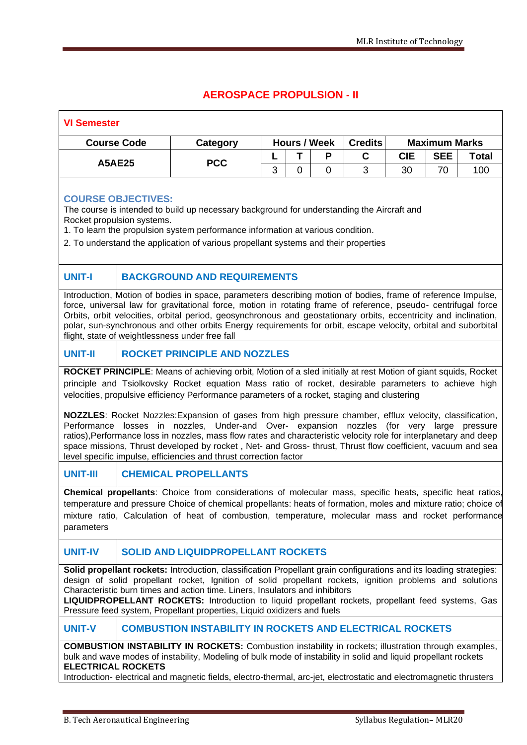٦

## **AEROSPACE PROPULSION - II**

|                                                         | <b>Course Code</b> | Category                                                                                                                                                                                                                                                                                                                                                                                                                                                                                                                                                                                                        |   |   | <b>Hours / Week</b> | <b>Credits</b> | <b>Maximum Marks</b> |            |              |
|---------------------------------------------------------|--------------------|-----------------------------------------------------------------------------------------------------------------------------------------------------------------------------------------------------------------------------------------------------------------------------------------------------------------------------------------------------------------------------------------------------------------------------------------------------------------------------------------------------------------------------------------------------------------------------------------------------------------|---|---|---------------------|----------------|----------------------|------------|--------------|
| <b>A5AE25</b>                                           |                    | <b>PCC</b>                                                                                                                                                                                                                                                                                                                                                                                                                                                                                                                                                                                                      | L | T | P                   | C              | <b>CIE</b>           | <b>SEE</b> | <b>Total</b> |
|                                                         |                    |                                                                                                                                                                                                                                                                                                                                                                                                                                                                                                                                                                                                                 | 3 | 0 | $\mathbf{0}$        | 3              | 30                   | 70         | 100          |
| <b>COURSE OBJECTIVES:</b><br>Rocket propulsion systems. |                    | The course is intended to build up necessary background for understanding the Aircraft and<br>1. To learn the propulsion system performance information at various condition.<br>2. To understand the application of various propellant systems and their properties                                                                                                                                                                                                                                                                                                                                            |   |   |                     |                |                      |            |              |
| <b>UNIT-I</b>                                           |                    | <b>BACKGROUND AND REQUIREMENTS</b>                                                                                                                                                                                                                                                                                                                                                                                                                                                                                                                                                                              |   |   |                     |                |                      |            |              |
|                                                         |                    | Introduction, Motion of bodies in space, parameters describing motion of bodies, frame of reference Impulse,<br>force, universal law for gravitational force, motion in rotating frame of reference, pseudo- centrifugal force<br>Orbits, orbit velocities, orbital period, geosynchronous and geostationary orbits, eccentricity and inclination,<br>polar, sun-synchronous and other orbits Energy requirements for orbit, escape velocity, orbital and suborbital<br>flight, state of weightlessness under free fall                                                                                         |   |   |                     |                |                      |            |              |
| <b>UNIT-II</b>                                          |                    | <b>ROCKET PRINCIPLE AND NOZZLES</b>                                                                                                                                                                                                                                                                                                                                                                                                                                                                                                                                                                             |   |   |                     |                |                      |            |              |
|                                                         |                    | velocities, propulsive efficiency Performance parameters of a rocket, staging and clustering<br>NOZZLES: Rocket Nozzles: Expansion of gases from high pressure chamber, efflux velocity, classification,<br>Performance losses in nozzles, Under-and Over- expansion nozzles (for very large pressure<br>ratios), Performance loss in nozzles, mass flow rates and characteristic velocity role for interplanetary and deep<br>space missions, Thrust developed by rocket, Net- and Gross- thrust, Thrust flow coefficient, vacuum and sea<br>level specific impulse, efficiencies and thrust correction factor |   |   |                     |                |                      |            |              |
| <b>UNIT-III</b>                                         |                    |                                                                                                                                                                                                                                                                                                                                                                                                                                                                                                                                                                                                                 |   |   |                     |                |                      |            |              |
|                                                         |                    | <b>CHEMICAL PROPELLANTS</b>                                                                                                                                                                                                                                                                                                                                                                                                                                                                                                                                                                                     |   |   |                     |                |                      |            |              |
| parameters                                              |                    | Chemical propellants: Choice from considerations of molecular mass, specific heats, specific heat ratios,<br>temperature and pressure Choice of chemical propellants: heats of formation, moles and mixture ratio; choice of<br>mixture ratio, Calculation of heat of combustion, temperature, molecular mass and rocket performance                                                                                                                                                                                                                                                                            |   |   |                     |                |                      |            |              |
|                                                         |                    | <b>SOLID AND LIQUIDPROPELLANT ROCKETS</b>                                                                                                                                                                                                                                                                                                                                                                                                                                                                                                                                                                       |   |   |                     |                |                      |            |              |
| <b>UNIT-IV</b>                                          |                    | Solid propellant rockets: Introduction, classification Propellant grain configurations and its loading strategies:<br>design of solid propellant rocket, Ignition of solid propellant rockets, ignition problems and solutions<br>Characteristic burn times and action time. Liners, Insulators and inhibitors<br>LIQUIDPROPELLANT ROCKETS: Introduction to liquid propellant rockets, propellant feed systems, Gas<br>Pressure feed system, Propellant properties, Liquid oxidizers and fuels                                                                                                                  |   |   |                     |                |                      |            |              |
| <b>UNIT-V</b>                                           |                    | <b>COMBUSTION INSTABILITY IN ROCKETS AND ELECTRICAL ROCKETS</b>                                                                                                                                                                                                                                                                                                                                                                                                                                                                                                                                                 |   |   |                     |                |                      |            |              |

| Introduction- electrical and magnetic fields, electro-thermal, arc-jet, electrostatic and electromagnetic thrusters |

 $\overline{1}$